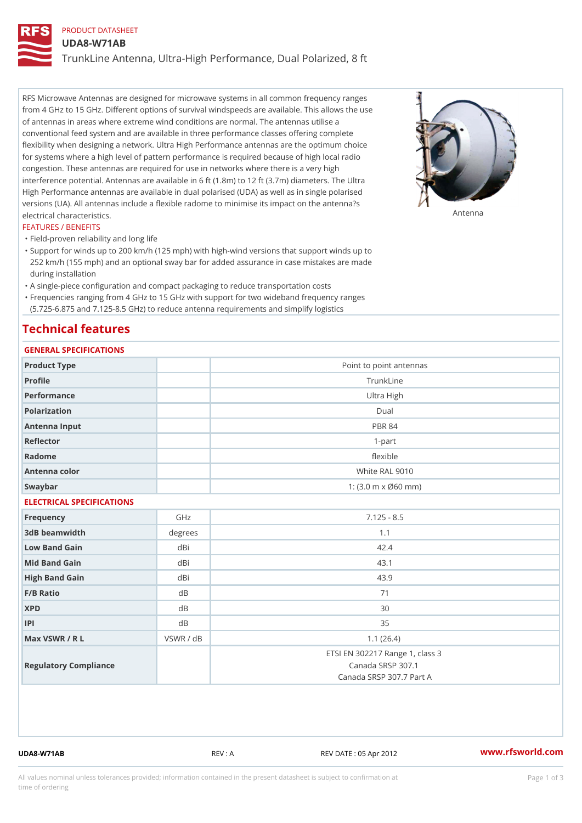## PRODUCT DATASHEET

UDA8-W71AB

TrunkLine Antenna, Ultra-High Performance, Dual Polarized, 8 ft

RFS Microwave Antennas are designed for microwave systems in all common frequency ranges from 4 GHz to 15 GHz. Different options of survival windspeeds are available. This allows the use of antennas in areas where extreme wind conditions are normal. The antennas utilise a conventional feed system and are available in three performance classes offering complete flexibility when designing a network. Ultra High Performance antennas are the optimum choice for systems where a high level of pattern performance is required because of high local radio congestion. These antennas are required for use in networks where there is a very high interference potential. Antennas are available in 6 ft (1.8m) to 12 ft (3.7m) diameters. The Ultra High Performance antennas are available in dual polarised (UDA) as well as in single polarised versions (UA). All antennas include a flexible radome to minimise its impact on the antenna?s electrical characteristics. Antenna

#### FEATURES / BENEFITS

"Field-proven reliability and long life

- Support for winds up to 200 km/h (125 mph) with high-wind versions that support winds up to " 252 km/h (155 mph) and an optional sway bar for added assurance in case mistakes are made during installation
- "A single-piece configuration and compact packaging to reduce transportation costs
- Frequencies ranging from 4 GHz to 15 GHz with support for two wideband frequency ranges "
- (5.725-6.875 and 7.125-8.5 GHz) to reduce antenna requirements and simplify logistics

## Technical features

## GENERAL SPECIFICATIONS

| GENERAL SPECIFICATIONS    |                |                                                                                  |  |  |  |
|---------------------------|----------------|----------------------------------------------------------------------------------|--|--|--|
| Product Type              |                | Point to point antennas                                                          |  |  |  |
| Profile                   |                | TrunkLine                                                                        |  |  |  |
| Performance               |                | Ultra High                                                                       |  |  |  |
| Polarization              |                | $D$ ual                                                                          |  |  |  |
| Antenna Input             | <b>PBR 84</b>  |                                                                                  |  |  |  |
| Reflector                 | $1-part$       |                                                                                  |  |  |  |
| Radome                    |                | flexible                                                                         |  |  |  |
| Antenna color             |                | White RAL 9010                                                                   |  |  |  |
| Swaybar                   |                | 1: $(3.0 \, \text{m} \times \emptyset 60 \, \text{mm})$                          |  |  |  |
| ELECTRICAL SPECIFICATIONS |                |                                                                                  |  |  |  |
| Frequency                 | GHz            | $7.125 - 8.5$                                                                    |  |  |  |
| 3dB beamwidth             | degree:        | 1.1                                                                              |  |  |  |
| Low Band Gain             | dBi            | 42.4                                                                             |  |  |  |
| Mid Band Gain             | dBi            | 43.1                                                                             |  |  |  |
| High Band Gain            | dBi            | 43.9                                                                             |  |  |  |
| $F/B$ Ratio               | d B            | 71                                                                               |  |  |  |
| <b>XPD</b>                | d <sub>B</sub> | 30                                                                               |  |  |  |
| P                         | d B            | 35                                                                               |  |  |  |
| Max VSWR / R L            | VSWR / dB      | 1.1(26.4)                                                                        |  |  |  |
| Regulatory Compliance     |                | ETSI EN 302217 Range 1, class 3<br>Canada SRSP 307.1<br>Canada SRSP 307.7 Part A |  |  |  |

UDA8-W71AB REV : A REV DATE : 05 Apr 2012 [www.](https://www.rfsworld.com)rfsworld.com

All values nominal unless tolerances provided; information contained in the present datasheet is subject to Pcapgeign mation time of ordering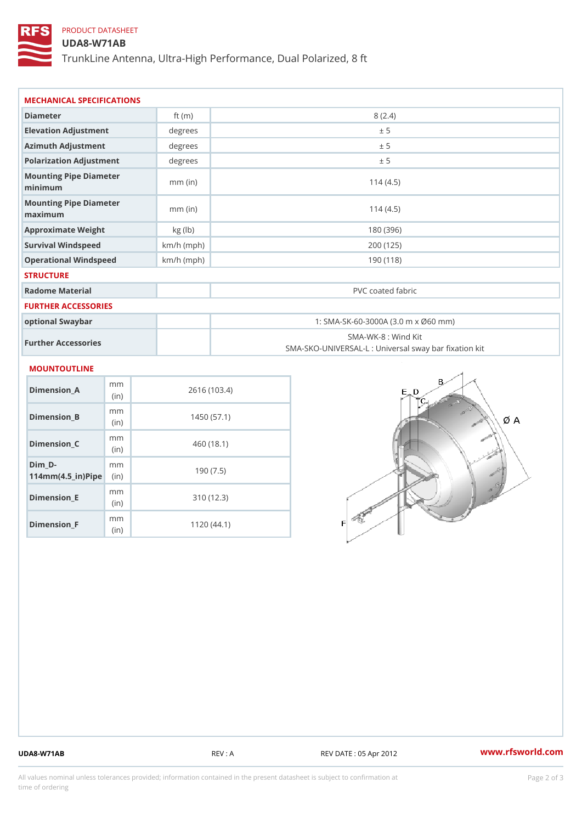# PRODUCT DATASHEET

### UDA8-W71AB

TrunkLine Antenna, Ultra-High Performance, Dual Polarized, 8 ft

| MECHANICAL SPECIFICATIONS                       |              |                                                                          |  |
|-------------------------------------------------|--------------|--------------------------------------------------------------------------|--|
| Diameter                                        | ft $(m)$     | 8(2.4)                                                                   |  |
| Elevation Adjustment                            | degrees      | ± 5                                                                      |  |
| Azimuth Adjustment                              | degrees      | ± 5                                                                      |  |
| Polarization Adjustment                         | degrees      | ± 5                                                                      |  |
| Mounting Pipe Diameter<br>minimum               | $mm$ (in)    | 114(4.5)                                                                 |  |
| Mounting Pipe Diameter<br>maximum               | $mm$ (in)    | 114(4.5)                                                                 |  |
| Approximate Weight                              | kg (lb)      | 180 (396)                                                                |  |
| Survival Windspeed                              | $km/h$ (mph) | 200 (125)                                                                |  |
| Operational Windspeed                           | $km/h$ (mph) | 190 (118)                                                                |  |
| <b>STRUCTURE</b>                                |              |                                                                          |  |
| Radome Material                                 |              | PVC coated fabric                                                        |  |
| FURTHER ACCESSORIES                             |              |                                                                          |  |
| optional Swaybar                                |              | 1: SMA-SK-60-3000A (3.0 m x Ø60 mm)                                      |  |
| Further Accessories                             |              | SMA-WK-8 : Wind Kit<br>SMA-SKO-UNIVERSAL-L : Universal sway bar fixation |  |
| <b>MOUNTOUTLINE</b>                             |              |                                                                          |  |
| m m<br>Dimension_A<br>(in)                      |              | 2616 (103.4)                                                             |  |
| m m<br>$Dimension_B$<br>(in)                    |              | 1450(57.1)                                                               |  |
| m m<br>Dimension_C<br>(in)                      |              | 460 (18.1)                                                               |  |
| $Dim_D - D -$<br>m m<br>$114mm(4.5_{ir})$ $Rip$ |              | 190(7.5)                                                                 |  |
| m m<br><b>Britain and Contract Contract</b>     |              | 0.401400                                                                 |  |

Dimension\_E

Dimension\_F

(in)

m<sub>m</sub> (in)

310 (12.3)

1120 (44.1)

UDA8-W71AB REV : A REV DATE : 05 Apr 2012 [www.](https://www.rfsworld.com)rfsworld.com